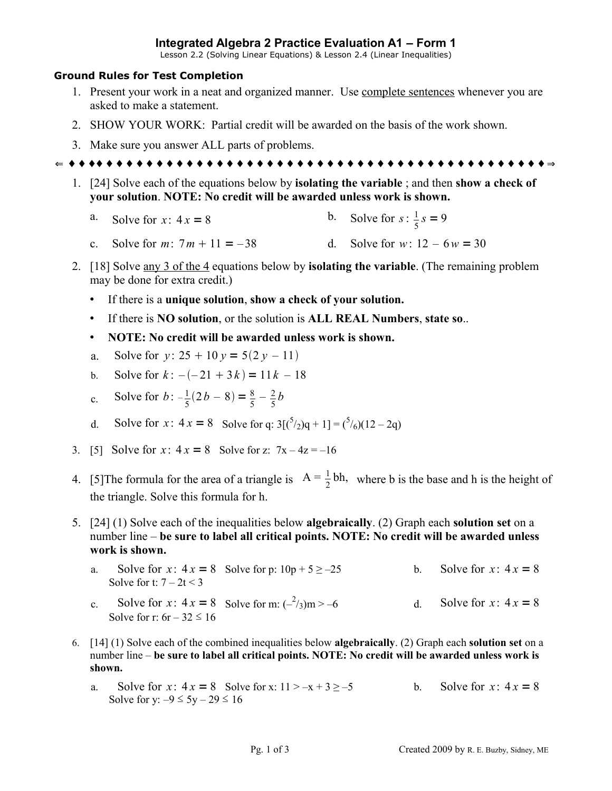## **Integrated Algebra 2 Practice Evaluation A1 – Form 1**

Lesson 2.2 (Solving Linear Equations) & Lesson 2.4 (Linear Inequalities)

## **Ground Rules for Test Completion**

- 1. Present your work in a neat and organized manner. Use complete sentences whenever you are asked to make a statement.
- 2. SHOW YOUR WORK: Partial credit will be awarded on the basis of the work shown.
- 3. Make sure you answer ALL parts of problems.

 $\Leftarrow$   $\Leftarrow$   $\Leftarrow$   $\Leftarrow$   $\Leftarrow$   $\Leftarrow$   $\Leftarrow$   $\Leftarrow$   $\Leftarrow$   $\Leftarrow$   $\Leftarrow$   $\Leftarrow$   $\Leftarrow$   $\Leftarrow$   $\Leftarrow$   $\Leftarrow$   $\Leftarrow$   $\Leftarrow$   $\Leftarrow$   $\Leftarrow$   $\Leftarrow$   $\Leftarrow$   $\Leftarrow$   $\Leftarrow$   $\Leftarrow$   $\Leftarrow$   $\Leftarrow$   $\Leftarrow$   $\Leftarrow$   $\Leftarrow$   $\Leftarrow$   $\Leftarrow$   $\Leftarrow$   $\Leftarrow$   $\Leftarrow$   $\Leftarrow$   $\Leftarrow$ 

- 1. [24] Solve each of the equations below by **isolating the variable** ; and then **show a check of your solution**. **NOTE: No credit will be awarded unless work is shown.**
	- a. Solve for  $x: 4x = 8$ b. Solve for  $s: \frac{1}{5} s = 9$
	- c. Solve for  $m: 7m + 11 = -38$  d. Solve for  $w: 12 6w = 30$
- 2. [18] Solve any 3 of the 4 equations below by **isolating the variable**. (The remaining problem may be done for extra credit.)
	- If there is a **unique solution**, **show a check of your solution.**
	- If there is **NO solution**, or the solution is **ALL REAL Numbers**, **state so**..
	- **NOTE: No credit will be awarded unless work is shown.**
	- a. Solve for  $v: 25 + 10 v = 5(2 v 11)$
	- b. Solve for  $k: -(-21 + 3k) = 11k 18$
	- c. Solve for  $b: -\frac{1}{5}$  $\frac{1}{5}(2b-8) = \frac{8}{5} - \frac{2}{5}$  $rac{2}{5}b$
	- d. Solve for *x*:  $4x = 8$  Solve for q:  $3[(5/2)q + 1] = (5/6)(12 2q)$
- 3. [5] Solve for  $x: 4x = 8$  Solve for z:  $7x 4z = -16$
- 4. [5] The formula for the area of a triangle is  $A = \frac{1}{2}bh$ , where b is the base and h is the height of the triangle. Solve this formula for h.
- 5. [24] (1) Solve each of the inequalities below **algebraically**. (2) Graph each **solution set** on a number line – **be sure to label all critical points. NOTE: No credit will be awarded unless work is shown.**
	- a. Solve for  $x: 4x = 8$  Solve for p:  $10p + 5 \ge -25$  b. Solve for  $x: 4x = 8$ Solve for t:  $7 - 2t < 3$
	- c. Solve for *x*:  $4x = 8$  Solve for m:  $\left(-\frac{2}{3}\right)m > -6$ d. Solve for  $x: 4x = 8$ Solve for r:  $6r - 32 \le 16$
- 6. [14] (1) Solve each of the combined inequalities below **algebraically**. (2) Graph each **solution set** on a number line – **be sure to label all critical points. NOTE: No credit will be awarded unless work is shown.**
	- a. Solve for *x*:  $4x = 8$  Solve for *x*:  $11 > -x + 3 \ge -5$  b. Solve for *x*:  $4x = 8$ Solve for y:  $-9 \le 5y - 29 \le 16$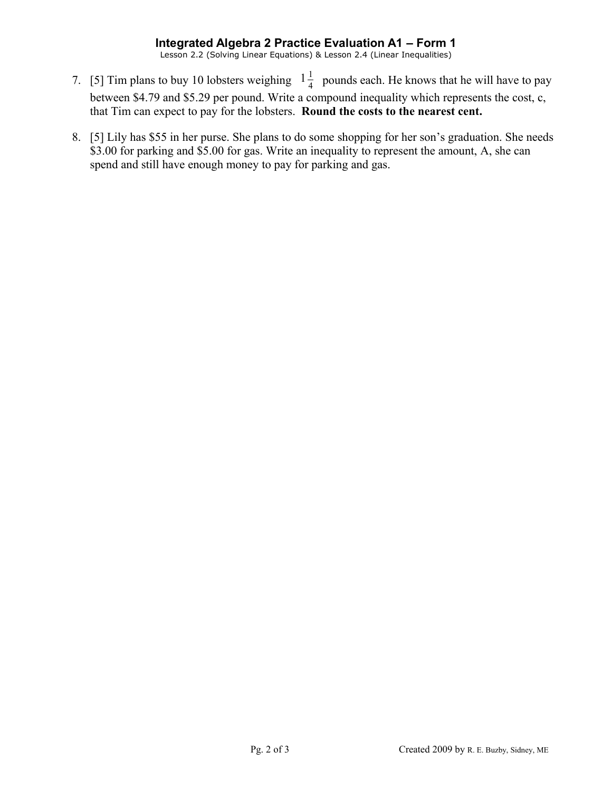## **Integrated Algebra 2 Practice Evaluation A1 – Form 1**

Lesson 2.2 (Solving Linear Equations) & Lesson 2.4 (Linear Inequalities)

- 7. [5] Tim plans to buy 10 lobsters weighing  $1\frac{1}{4}$  $\frac{1}{4}$  pounds each. He knows that he will have to pay between \$4.79 and \$5.29 per pound. Write a compound inequality which represents the cost, c, that Tim can expect to pay for the lobsters. **Round the costs to the nearest cent.**
- 8. [5] Lily has \$55 in her purse. She plans to do some shopping for her son's graduation. She needs \$3.00 for parking and \$5.00 for gas. Write an inequality to represent the amount, A, she can spend and still have enough money to pay for parking and gas.